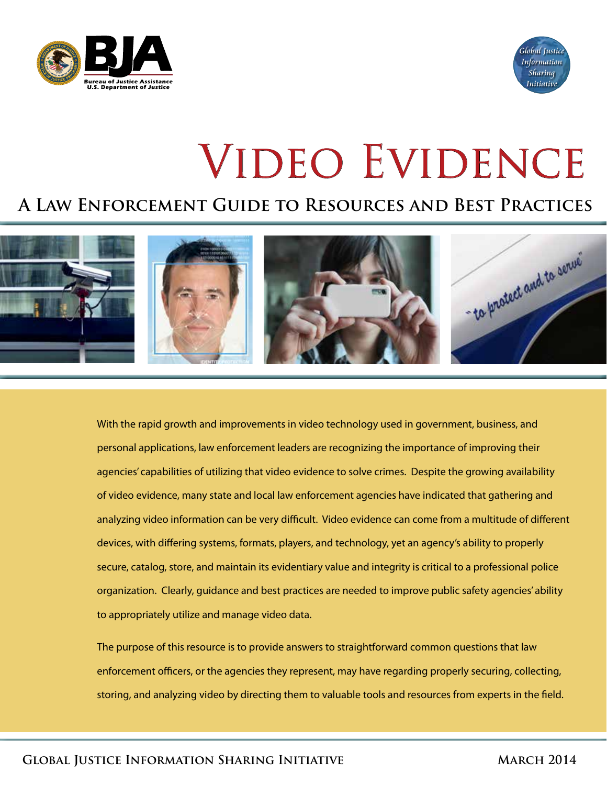



# VIDEO EVIDENCE

## **A Law Enforcement Guide to Resources and Best Practices**



With the rapid growth and improvements in video technology used in government, business, and personal applications, law enforcement leaders are recognizing the importance of improving their agencies' capabilities of utilizing that video evidence to solve crimes. Despite the growing availability of video evidence, many state and local law enforcement agencies have indicated that gathering and analyzing video information can be very difficult. Video evidence can come from a multitude of different devices, with differing systems, formats, players, and technology, yet an agency's ability to properly secure, catalog, store, and maintain its evidentiary value and integrity is critical to a professional police organization. Clearly, guidance and best practices are needed to improve public safety agencies' ability to appropriately utilize and manage video data.

The purpose of this resource is to provide answers to straightforward common questions that law enforcement officers, or the agencies they represent, may have regarding properly securing, collecting, storing, and analyzing video by directing them to valuable tools and resources from experts in the field.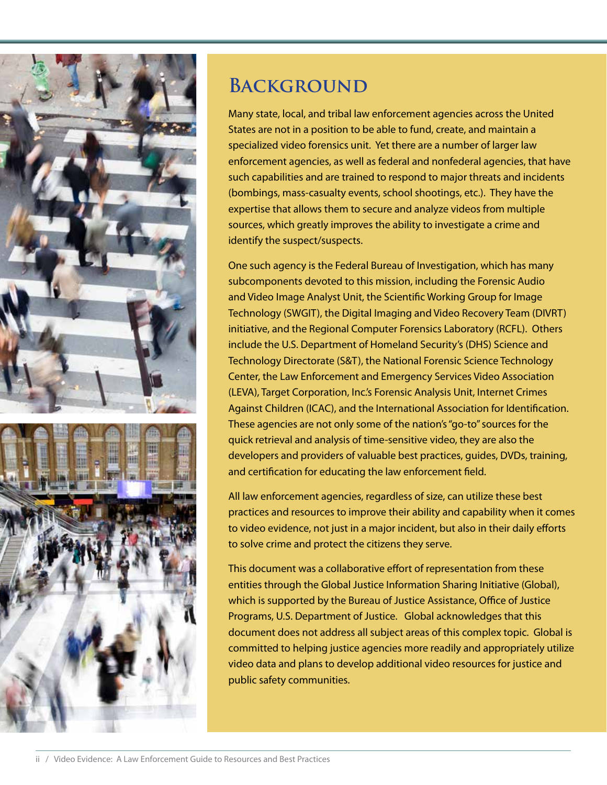



## **BACKGROUND**

Many state, local, and tribal law enforcement agencies across the United States are not in a position to be able to fund, create, and maintain a specialized video forensics unit. Yet there are a number of larger law enforcement agencies, as well as federal and nonfederal agencies, that have such capabilities and are trained to respond to major threats and incidents (bombings, mass-casualty events, school shootings, etc.). They have the expertise that allows them to secure and analyze videos from multiple sources, which greatly improves the ability to investigate a crime and identify the suspect/suspects.

One such agency is the Federal Bureau of Investigation, which has many subcomponents devoted to this mission, including the Forensic Audio and Video Image Analyst Unit, the Scientific Working Group for Image Technology (SWGIT), the Digital Imaging and Video Recovery Team (DIVRT) initiative, and the Regional Computer Forensics Laboratory (RCFL). Others include the U.S. Department of Homeland Security's (DHS) Science and Technology Directorate (S&T), the National Forensic Science Technology Center, the Law Enforcement and Emergency Services Video Association (LEVA), Target Corporation, Inc.'s Forensic Analysis Unit, Internet Crimes Against Children (ICAC), and the International Association for Identification. These agencies are not only some of the nation's "go-to" sources for the quick retrieval and analysis of time-sensitive video, they are also the developers and providers of valuable best practices, guides, DVDs, training, and certification for educating the law enforcement field.

All law enforcement agencies, regardless of size, can utilize these best practices and resources to improve their ability and capability when it comes to video evidence, not just in a major incident, but also in their daily efforts to solve crime and protect the citizens they serve.

This document was a collaborative effort of representation from these entities through the Global Justice Information Sharing Initiative (Global), which is supported by the Bureau of Justice Assistance, Office of Justice Programs, U.S. Department of Justice. Global acknowledges that this document does not address all subject areas of this complex topic. Global is committed to helping justice agencies more readily and appropriately utilize video data and plans to develop additional video resources for justice and public safety communities.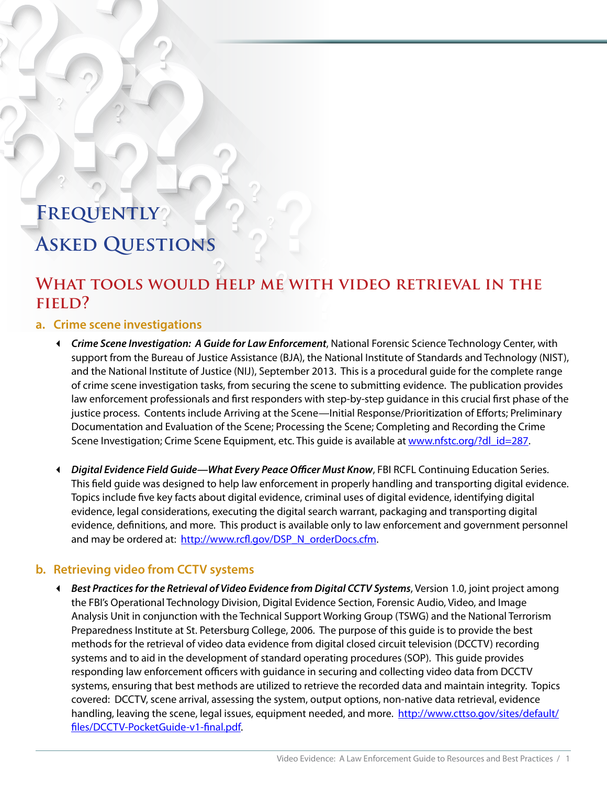# **Frequently Asked Questions**

## WHAT TOOLS WOULD HELP ME WITH VIDEO RETRIEVAL IN THE **field?**

#### **a. Crime scene investigations**

- *Crime Scene Investigation: A Guide for Law Enforcement*, National Forensic Science Technology Center, with support from the Bureau of Justice Assistance (BJA), the National Institute of Standards and Technology (NIST), and the National Institute of Justice (NIJ), September 2013. This is a procedural guide for the complete range of crime scene investigation tasks, from securing the scene to submitting evidence. The publication provides law enforcement professionals and first responders with step-by-step guidance in this crucial first phase of the justice process. Contents include Arriving at the Scene—Initial Response/Prioritization of Efforts; Preliminary Documentation and Evaluation of the Scene; Processing the Scene; Completing and Recording the Crime Scene Investigation; Crime Scene Equipment, etc. This guide is available at [www.nfstc.org/?dl\\_id=287](www.nfstc.org/?dl_id=287).
- *Digital Evidence Field Guide—What Every Peace Officer Must Know*, FBI RCFL Continuing Education Series. This field guide was designed to help law enforcement in properly handling and transporting digital evidence. Topics include five key facts about digital evidence, criminal uses of digital evidence, identifying digital evidence, legal considerations, executing the digital search warrant, packaging and transporting digital evidence, definitions, and more. This product is available only to law enforcement and government personnel and may be ordered at: [http://www.rcfl.gov/DSP\\_N\\_orderDocs.cfm.](http://www.rcfl.gov/DSP_N_orderDocs.cfm)

#### **b. Retrieving video from CCTV systems**

 *Best Practices for the Retrieval of Video Evidence from Digital CCTV Systems*, Version 1.0, joint project among the FBI's Operational Technology Division, Digital Evidence Section, Forensic Audio, Video, and Image Analysis Unit in conjunction with the Technical Support Working Group (TSWG) and the National Terrorism Preparedness Institute at St. Petersburg College, 2006. The purpose of this guide is to provide the best methods for the retrieval of video data evidence from digital closed circuit television (DCCTV) recording systems and to aid in the development of standard operating procedures (SOP). This guide provides responding law enforcement officers with guidance in securing and collecting video data from DCCTV systems, ensuring that best methods are utilized to retrieve the recorded data and maintain integrity. Topics covered: DCCTV, scene arrival, assessing the system, output options, non-native data retrieval, evidence handling, leaving the scene, legal issues, equipment needed, and more. [http://www.cttso.gov/sites/default/](http://www.cttso.gov/sites/default/files/DCCTV-PocketGuide-v1-final.pdf) [files/DCCTV-PocketGuide-v1-final.pdf.](http://www.cttso.gov/sites/default/files/DCCTV-PocketGuide-v1-final.pdf)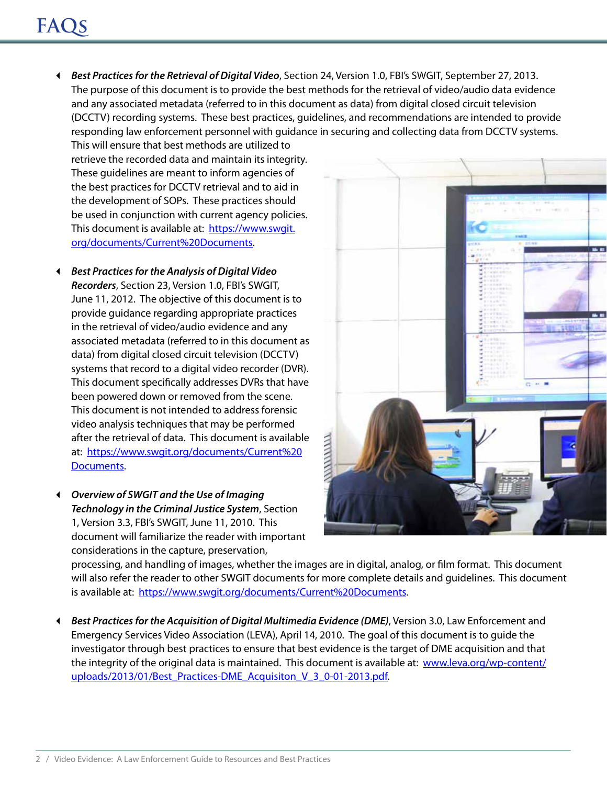## **FAQs**

 *Best Practices for the Retrieval of Digital Video*, Section 24, Version 1.0, FBI's SWGIT, September 27, 2013. The purpose of this document is to provide the best methods for the retrieval of video/audio data evidence and any associated metadata (referred to in this document as data) from digital closed circuit television (DCCTV) recording systems. These best practices, guidelines, and recommendations are intended to provide responding law enforcement personnel with guidance in securing and collecting data from DCCTV systems.

This will ensure that best methods are utilized to retrieve the recorded data and maintain its integrity. These guidelines are meant to inform agencies of the best practices for DCCTV retrieval and to aid in the development of SOPs. These practices should be used in conjunction with current agency policies. This document is available at: [https://www.swgit.](https://www.swgit.org/documents/Current%20Documents) [org/documents/Current%20Documents.](https://www.swgit.org/documents/Current%20Documents)

- *Best Practices for the Analysis of Digital Video Recorders*, Section 23, Version 1.0, FBI's SWGIT, June 11, 2012. The objective of this document is to provide guidance regarding appropriate practices in the retrieval of video/audio evidence and any associated metadata (referred to in this document as data) from digital closed circuit television (DCCTV) systems that record to a digital video recorder (DVR). This document specifically addresses DVRs that have been powered down or removed from the scene. This document is not intended to address forensic video analysis techniques that may be performed after the retrieval of data. This document is available at: [https://www.swgit.org/documents/Current%20](https://www.swgit.org/documents/Current%20Documents) [Documents](https://www.swgit.org/documents/Current%20Documents).
- *Overview of SWGIT and the Use of Imaging Technology in the Criminal Justice System*, Section 1, Version 3.3, FBI's SWGIT, June 11, 2010. This document will familiarize the reader with important considerations in the capture, preservation,



processing, and handling of images, whether the images are in digital, analog, or film format. This document will also refer the reader to other SWGIT documents for more complete details and guidelines. This document is available at: [https://www.swgit.org/documents/Current%20Documents.](https://www.swgit.org/documents/Current%20Documents)

 *Best Practices for the Acquisition of Digital Multimedia Evidence (DME)*, Version 3.0, Law Enforcement and Emergency Services Video Association (LEVA), April 14, 2010. The goal of this document is to guide the investigator through best practices to ensure that best evidence is the target of DME acquisition and that the integrity of the original data is maintained. This document is available at: [www.leva.org/wp-content/](www.leva.org/wp-content/uploads/2013/01/Best_Practices-DME_Acquisiton_V_3_0-01-2013.pdf) [uploads/2013/01/Best\\_Practices-DME\\_Acquisiton\\_V\\_3\\_0-01-2013.pdf](www.leva.org/wp-content/uploads/2013/01/Best_Practices-DME_Acquisiton_V_3_0-01-2013.pdf).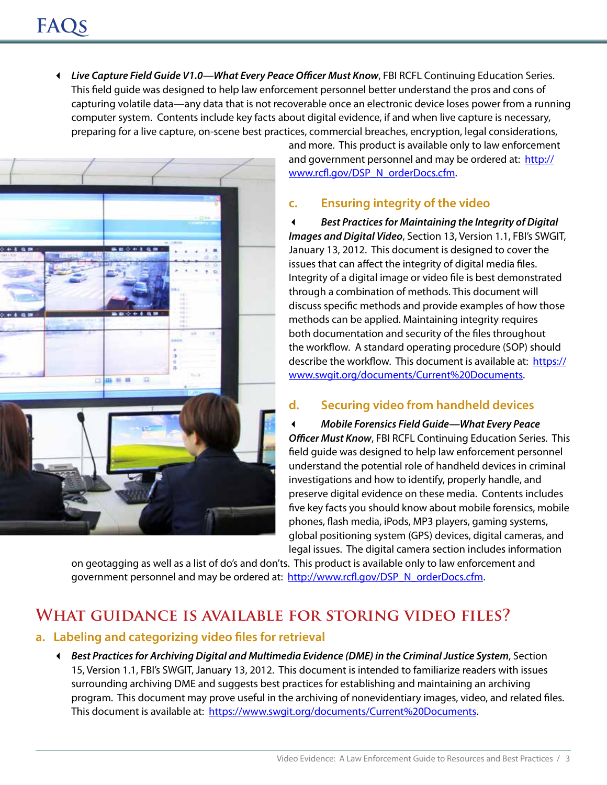*Live Capture Field Guide V1.0—What Every Peace Officer Must Know*, FBI RCFL Continuing Education Series. This field guide was designed to help law enforcement personnel better understand the pros and cons of capturing volatile data—any data that is not recoverable once an electronic device loses power from a running computer system. Contents include key facts about digital evidence, if and when live capture is necessary, preparing for a live capture, on-scene best practices, commercial breaches, encryption, legal considerations,



and more. This product is available only to law enforcement and government personnel and may be ordered at: [http://](http://www.rcfl.gov/DSP_N_orderDocs.cfm) [www.rcfl.gov/DSP\\_N\\_orderDocs.cfm](http://www.rcfl.gov/DSP_N_orderDocs.cfm).

#### **c. Ensuring integrity of the video**

 *Best Practices for Maintaining the Integrity of Digital Images and Digital Video*, Section 13, Version 1.1, FBI's SWGIT, January 13, 2012. This document is designed to cover the issues that can affect the integrity of digital media files. Integrity of a digital image or video file is best demonstrated through a combination of methods. This document will discuss specific methods and provide examples of how those methods can be applied. Maintaining integrity requires both documentation and security of the files throughout the workflow. A standard operating procedure (SOP) should describe the workflow. This document is available at: [https://](https://www.swgit.org/documents/Current%20Documents) [www.swgit.org/documents/Current%20Documents.](https://www.swgit.org/documents/Current%20Documents)

#### **d. Securing video from handheld devices**

 *Mobile Forensics Field Guide—What Every Peace Officer Must Know*, FBI RCFL Continuing Education Series. This field guide was designed to help law enforcement personnel understand the potential role of handheld devices in criminal investigations and how to identify, properly handle, and preserve digital evidence on these media. Contents includes five key facts you should know about mobile forensics, mobile phones, flash media, iPods, MP3 players, gaming systems, global positioning system (GPS) devices, digital cameras, and legal issues. The digital camera section includes information

on geotagging as well as a list of do's and don'ts. This product is available only to law enforcement and government personnel and may be ordered at: [http://www.rcfl.gov/DSP\\_N\\_orderDocs.cfm](http://www.rcfl.gov/DSP_N_orderDocs.cfm).

## **What guidance is available for storing video files?**

#### **a. Labeling and categorizing video files for retrieval**

 *Best Practices for Archiving Digital and Multimedia Evidence (DME) in the Criminal Justice System*, Section 15, Version 1.1, FBI's SWGIT, January 13, 2012. This document is intended to familiarize readers with issues surrounding archiving DME and suggests best practices for establishing and maintaining an archiving program. This document may prove useful in the archiving of nonevidentiary images, video, and related files. This document is available at: [https://www.swgit.org/documents/Current%20Documents.](https://www.swgit.org/documents/Current%20Documents)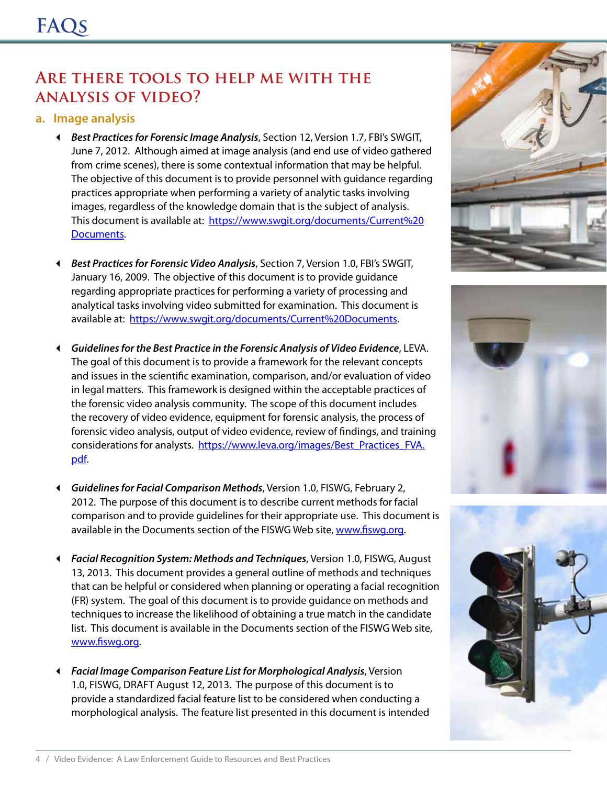## **Are there tools to help me with the analysis of video?**

#### **a. Image analysis**

- *Best Practices for Forensic Image Analysis*, Section 12, Version 1.7, FBI's SWGIT, June 7, 2012. Although aimed at image analysis (and end use of video gathered from crime scenes), there is some contextual information that may be helpful. The objective of this document is to provide personnel with guidance regarding practices appropriate when performing a variety of analytic tasks involving images, regardless of the knowledge domain that is the subject of analysis. This document is available at: [https://www.swgit.org/documents/Current%20](https://www.swgit.org/documents/Current%20Documents) [Documents](https://www.swgit.org/documents/Current%20Documents).
- *Best Practices for Forensic Video Analysis*, Section 7, Version 1.0, FBI's SWGIT, January 16, 2009. The objective of this document is to provide guidance regarding appropriate practices for performing a variety of processing and analytical tasks involving video submitted for examination. This document is available at: [https://www.swgit.org/documents/Current%20Documents.](https://www.swgit.org/documents/Current%20Documents)
- *Guidelines for the Best Practice in the Forensic Analysis of Video Evidence*, LEVA. The goal of this document is to provide a framework for the relevant concepts and issues in the scientific examination, comparison, and/or evaluation of video in legal matters. This framework is designed within the acceptable practices of the forensic video analysis community. The scope of this document includes the recovery of video evidence, equipment for forensic analysis, the process of forensic video analysis, output of video evidence, review of findings, and training considerations for analysts. [https://www.leva.org/images/Best\\_Practices\\_FVA.](https://www.leva.org/images/Best_Practices_FVA.pdf) [pdf](https://www.leva.org/images/Best_Practices_FVA.pdf).
- *Guidelines for Facial Comparison Methods*, Version 1.0, FISWG, February 2, 2012. The purpose of this document is to describe current methods for facial comparison and to provide guidelines for their appropriate use. This document is available in the Documents section of the FISWG Web site, www.fiswq.org.
- *Facial Recognition System: Methods and Techniques*, Version 1.0, FISWG, August 13, 2013. This document provides a general outline of methods and techniques that can be helpful or considered when planning or operating a facial recognition (FR) system. The goal of this document is to provide guidance on methods and techniques to increase the likelihood of obtaining a true match in the candidate list. This document is available in the Documents section of the FISWG Web site, <www.fiswg.org>.
- *Facial Image Comparison Feature List for Morphological Analysis*, Version 1.0, FISWG, DRAFT August 12, 2013. The purpose of this document is to provide a standardized facial feature list to be considered when conducting a morphological analysis. The feature list presented in this document is intended





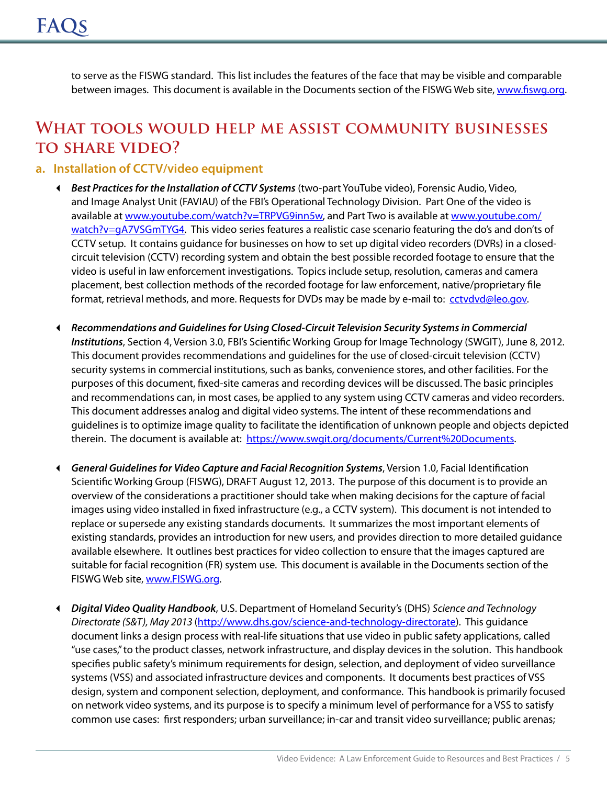to serve as the FISWG standard. This list includes the features of the face that may be visible and comparable between images. This document is available in the Documents section of the FISWG Web site, [www.fiswg.org.](www.fiswg.org)

## **What tools would help me assist community businesses to share video?**

#### **a. Installation of CCTV/video equipment**

- *Best Practices for the Installation of CCTV Systems* (two-part YouTube video), Forensic Audio, Video, and Image Analyst Unit (FAVIAU) of the FBI's Operational Technology Division. Part One of the video is available at [www.youtube.com/watch?v=TRPVG9inn5w,](www.youtube.com/watch?v=TRPVG9inn5w) and Part Two is available at [www.youtube.com/](www.youtube.com/watch?v=gA7VSGmTYG4) [watch?v=gA7VSGmTYG4](www.youtube.com/watch?v=gA7VSGmTYG4). This video series features a realistic case scenario featuring the do's and don'ts of CCTV setup. It contains guidance for businesses on how to set up digital video recorders (DVRs) in a closedcircuit television (CCTV) recording system and obtain the best possible recorded footage to ensure that the video is useful in law enforcement investigations. Topics include setup, resolution, cameras and camera placement, best collection methods of the recorded footage for law enforcement, native/proprietary file format, retrieval methods, and more. Requests for DVDs may be made by e-mail to: [cctvdvd@leo.gov](mailto:cctvdvd%40leo.gov?subject=DVD%20Request).
- *Recommendations and Guidelines for Using Closed-Circuit Television Security Systems in Commercial Institutions*, Section 4, Version 3.0, FBI's Scientific Working Group for Image Technology (SWGIT), June 8, 2012. This document provides recommendations and guidelines for the use of closed-circuit television (CCTV) security systems in commercial institutions, such as banks, convenience stores, and other facilities. For the purposes of this document, fixed-site cameras and recording devices will be discussed. The basic principles and recommendations can, in most cases, be applied to any system using CCTV cameras and video recorders. This document addresses analog and digital video systems. The intent of these recommendations and guidelines is to optimize image quality to facilitate the identification of unknown people and objects depicted therein. The document is available at: [https://www.swgit.org/documents/Current%20Documents.](https://www.swgit.org/documents/Current%20Documents)
- *General Guidelines for Video Capture and Facial Recognition Systems*, Version 1.0, Facial Identification Scientific Working Group (FISWG), DRAFT August 12, 2013. The purpose of this document is to provide an overview of the considerations a practitioner should take when making decisions for the capture of facial images using video installed in fixed infrastructure (e.g., a CCTV system). This document is not intended to replace or supersede any existing standards documents. It summarizes the most important elements of existing standards, provides an introduction for new users, and provides direction to more detailed guidance available elsewhere. It outlines best practices for video collection to ensure that the images captured are suitable for facial recognition (FR) system use. This document is available in the Documents section of the FISWG Web site,<www.FISWG.org>.
- *Digital Video Quality Handbook*, U.S. Department of Homeland Security's (DHS) *Science and Technology Directorate (S&T), May 2013* [\(http://www.dhs.gov/science-and-technology-directorate\)](http://www.dhs.gov/science-and-technology-directorate). This guidance document links a design process with real-life situations that use video in public safety applications, called "use cases," to the product classes, network infrastructure, and display devices in the solution. This handbook specifies public safety's minimum requirements for design, selection, and deployment of video surveillance systems (VSS) and associated infrastructure devices and components. It documents best practices of VSS design, system and component selection, deployment, and conformance. This handbook is primarily focused on network video systems, and its purpose is to specify a minimum level of performance for a VSS to satisfy common use cases: first responders; urban surveillance; in-car and transit video surveillance; public arenas;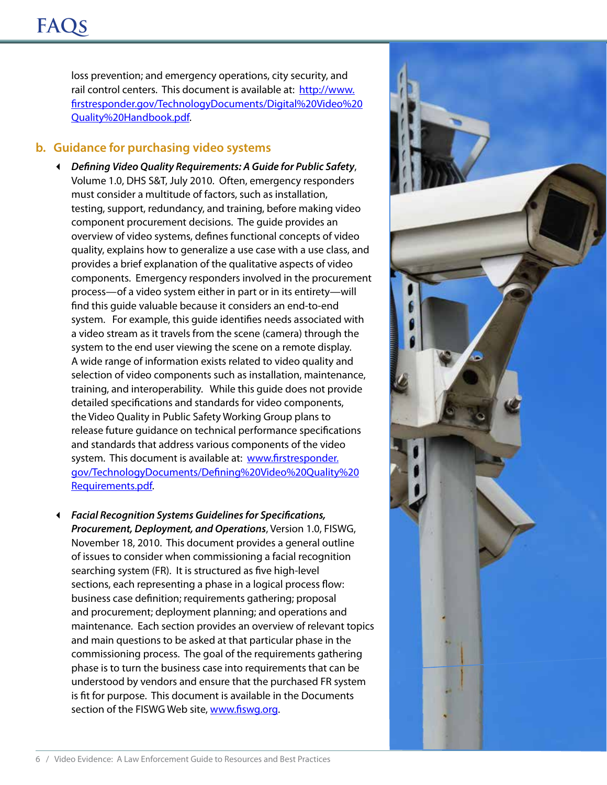loss prevention; and emergency operations, city security, and rail control centers. This document is available at: [http://www.](http://www.firstresponder.gov/TechnologyDocuments/Digital%20Video%20Quality%20Handbook.pdf) [firstresponder.gov/TechnologyDocuments/Digital%20Video%20](http://www.firstresponder.gov/TechnologyDocuments/Digital%20Video%20Quality%20Handbook.pdf) [Quality%20Handbook.pdf](http://www.firstresponder.gov/TechnologyDocuments/Digital%20Video%20Quality%20Handbook.pdf).

#### **b. Guidance for purchasing video systems**

- *Defining Video Quality Requirements: A Guide for Public Safety*, Volume 1.0, DHS S&T, July 2010. Often, emergency responders must consider a multitude of factors, such as installation, testing, support, redundancy, and training, before making video component procurement decisions. The guide provides an overview of video systems, defines functional concepts of video quality, explains how to generalize a use case with a use class, and provides a brief explanation of the qualitative aspects of video components. Emergency responders involved in the procurement process—of a video system either in part or in its entirety—will find this guide valuable because it considers an end‐to‐end system. For example, this guide identifies needs associated with a video stream as it travels from the scene (camera) through the system to the end user viewing the scene on a remote display. A wide range of information exists related to video quality and selection of video components such as installation, maintenance, training, and interoperability. While this guide does not provide detailed specifications and standards for video components, the Video Quality in Public Safety Working Group plans to release future guidance on technical performance specifications and standards that address various components of the video system. This document is available at: [www.firstresponder.](www.firstresponder.gov/TechnologyDocuments/Defining%20Video%20Quality%20Requirements.pdf) [gov/TechnologyDocuments/Defining%20Video%20Quality%20](www.firstresponder.gov/TechnologyDocuments/Defining%20Video%20Quality%20Requirements.pdf) [Requirements.pdf.](www.firstresponder.gov/TechnologyDocuments/Defining%20Video%20Quality%20Requirements.pdf)
- *Facial Recognition Systems Guidelines for Specifications, Procurement, Deployment, and Operations*, Version 1.0, FISWG, November 18, 2010. This document provides a general outline of issues to consider when commissioning a facial recognition searching system (FR). It is structured as five high-level sections, each representing a phase in a logical process flow: business case definition; requirements gathering; proposal and procurement; deployment planning; and operations and maintenance. Each section provides an overview of relevant topics and main questions to be asked at that particular phase in the commissioning process. The goal of the requirements gathering phase is to turn the business case into requirements that can be understood by vendors and ensure that the purchased FR system is fit for purpose. This document is available in the Documents section of the FISWG Web site,<www.fiswg.org>.

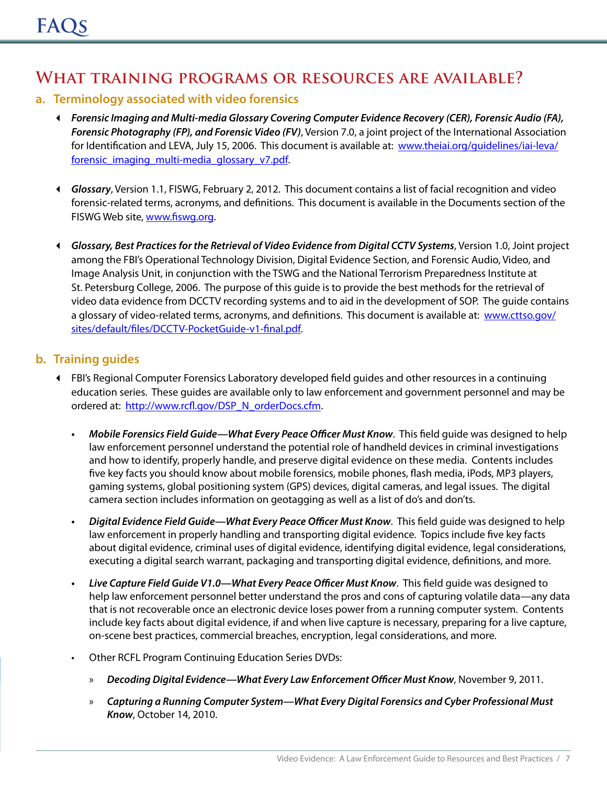## **What training programs or resources are available?**

#### **a. Terminology associated with video forensics**

- *Forensic Imaging and Multi-media Glossary Covering Computer Evidence Recovery (CER), Forensic Audio (FA), Forensic Photography (FP), and Forensic Video (FV)*, Version 7.0, a joint project of the International Association for Identification and LEVA, July 15, 2006. This document is available at: [www.theiai.org/guidelines/iai-leva/](www.theiai.org/guidelines/iai-leva/forensic_imaging_multi-media_glossary_v7.pdf) [forensic\\_imaging\\_multi-media\\_glossary\\_v7.pdf.](www.theiai.org/guidelines/iai-leva/forensic_imaging_multi-media_glossary_v7.pdf)
- *Glossary*, Version 1.1, FISWG, February 2, 2012. This document contains a list of facial recognition and video forensic-related terms, acronyms, and definitions. This document is available in the Documents section of the FISWG Web site, [www.fiswg.org.](www.fiswg.org)
- *Glossary, Best Practices for the Retrieval of Video Evidence from Digital CCTV Systems*, Version 1.0, Joint project among the FBI's Operational Technology Division, Digital Evidence Section, and Forensic Audio, Video, and Image Analysis Unit, in conjunction with the TSWG and the National Terrorism Preparedness Institute at St. Petersburg College, 2006. The purpose of this guide is to provide the best methods for the retrieval of video data evidence from DCCTV recording systems and to aid in the development of SOP. The guide contains a glossary of video-related terms, acronyms, and definitions. This document is available at: [www.cttso.gov/](www.cttso.gov/sites/default/files/DCCTV-PocketGuide-v1-final.pdf) [sites/default/files/DCCTV-PocketGuide-v1-final.pdf](www.cttso.gov/sites/default/files/DCCTV-PocketGuide-v1-final.pdf).

#### **b. Training guides**

- FBI's Regional Computer Forensics Laboratory developed field guides and other resources in a continuing education series. These guides are available only to law enforcement and government personnel and may be ordered at: [http://www.rcfl.gov/DSP\\_N\\_orderDocs.cfm.](http://www.rcfl.gov/DSP_N_orderDocs.cfm)
	- *• Mobile Forensics Field Guide—What Every Peace Officer Must Know*. This field guide was designed to help law enforcement personnel understand the potential role of handheld devices in criminal investigations and how to identify, properly handle, and preserve digital evidence on these media. Contents includes five key facts you should know about mobile forensics, mobile phones, flash media, iPods, MP3 players, gaming systems, global positioning system (GPS) devices, digital cameras, and legal issues. The digital camera section includes information on geotagging as well as a list of do's and don'ts.
	- *• Digital Evidence Field Guide—What Every Peace Officer Must Know*. This field guide was designed to help law enforcement in properly handling and transporting digital evidence. Topics include five key facts about digital evidence, criminal uses of digital evidence, identifying digital evidence, legal considerations, executing a digital search warrant, packaging and transporting digital evidence, definitions, and more.
	- *• Live Capture Field Guide V1.0—What Every Peace Officer Must Know*. This field guide was designed to help law enforcement personnel better understand the pros and cons of capturing volatile data—any data that is not recoverable once an electronic device loses power from a running computer system. Contents include key facts about digital evidence, if and when live capture is necessary, preparing for a live capture, on-scene best practices, commercial breaches, encryption, legal considerations, and more.
	- Other RCFL Program Continuing Education Series DVDs:
		- » *Decoding Digital Evidence—What Every Law Enforcement Officer Must Know*, November 9, 2011.
		- » *Capturing a Running Computer System—What Every Digital Forensics and Cyber Professional Must Know*, October 14, 2010.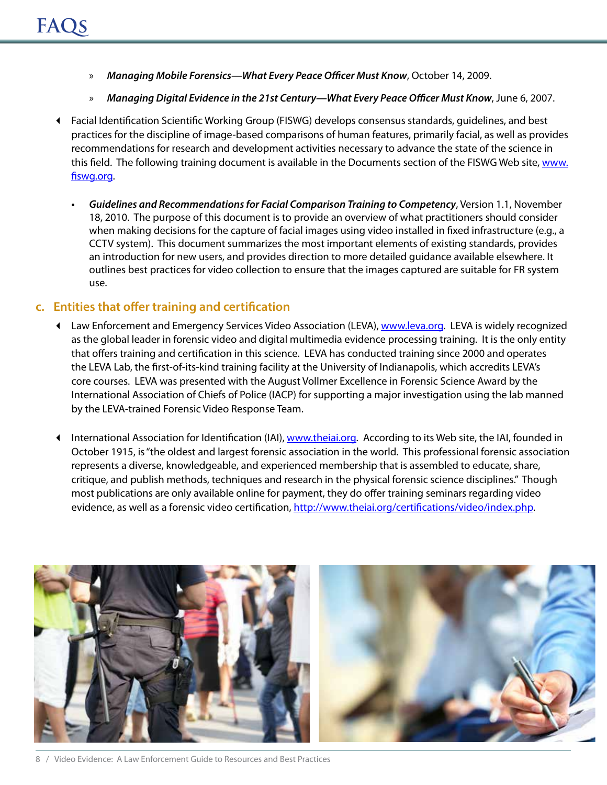- » *Managing Mobile Forensics—What Every Peace Officer Must Know*, October 14, 2009.
- » *Managing Digital Evidence in the 21st Century—What Every Peace Officer Must Know*, June 6, 2007.
- Facial Identification Scientific Working Group (FISWG) develops consensus standards, guidelines, and best practices for the discipline of image-based comparisons of human features, primarily facial, as well as provides recommendations for research and development activities necessary to advance the state of the science in this field. The following training document is available in the Documents section of the FISWG Web site, [www.](www.fiswg.org) [fiswg.org.](www.fiswg.org)
	- *• Guidelines and Recommendations for Facial Comparison Training to Competency*, Version 1.1, November 18, 2010. The purpose of this document is to provide an overview of what practitioners should consider when making decisions for the capture of facial images using video installed in fixed infrastructure (e.g., a CCTV system). This document summarizes the most important elements of existing standards, provides an introduction for new users, and provides direction to more detailed guidance available elsewhere. It outlines best practices for video collection to ensure that the images captured are suitable for FR system use.

#### **c. Entities that offer training and certification**

- ♦ Law Enforcement and Emergency Services Video Association (LEVA), <www.leva.org>. LEVA is widely recognized as the global leader in forensic video and digital multimedia evidence processing training. It is the only entity that offers training and certification in this science. LEVA has conducted training since 2000 and operates the LEVA Lab, the first-of-its-kind training facility at the University of Indianapolis, which accredits LEVA's core courses. LEVA was presented with the August Vollmer Excellence in Forensic Science Award by the International Association of Chiefs of Police (IACP) for supporting a major investigation using the lab manned by the LEVA-trained Forensic Video Response Team.
- International Association for Identification (IAI),<www.theiai.org>. According to its Web site, the IAI, founded in October 1915, is "the oldest and largest forensic association in the world. This professional forensic association represents a diverse, knowledgeable, and experienced membership that is assembled to educate, share, critique, and publish methods, techniques and research in the physical forensic science disciplines." Though most publications are only available online for payment, they do offer training seminars regarding video evidence, as well as a forensic video certification,<http://www.theiai.org/certifications/video/index.php>.

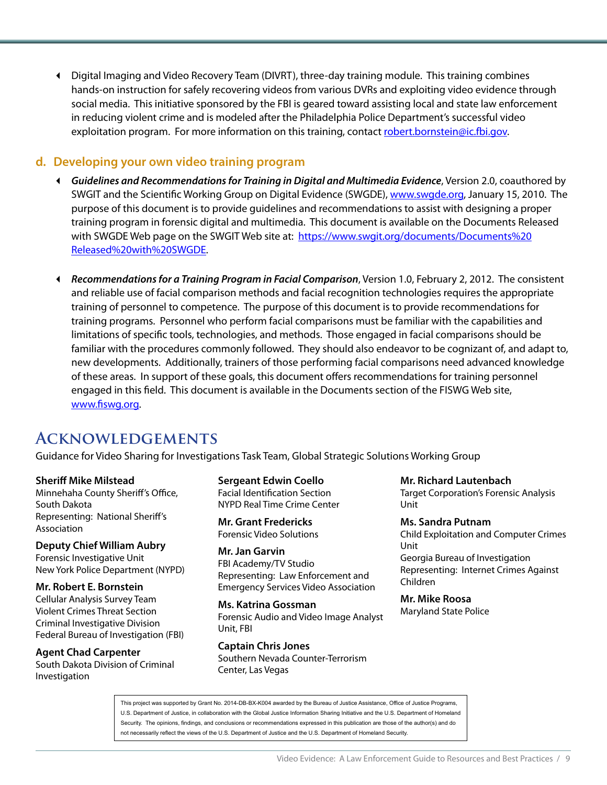Digital Imaging and Video Recovery Team (DIVRT), three-day training module. This training combines hands-on instruction for safely recovering videos from various DVRs and exploiting video evidence through social media. This initiative sponsored by the FBI is geared toward assisting local and state law enforcement in reducing violent crime and is modeled after the Philadelphia Police Department's successful video exploitation program. For more information on this training, contact [robert.bornstein@ic.fbi.gov.](mailto:robert.bornstein%40ic.fbi.gov?subject=)

#### **d. Developing your own video training program**

- *Guidelines and Recommendations for Training in Digital and Multimedia Evidence*, Version 2.0, coauthored by SWGIT and the Scientific Working Group on Digital Evidence (SWGDE), [www.swgde.org,](www.swgde.org) January 15, 2010. The purpose of this document is to provide guidelines and recommendations to assist with designing a proper training program in forensic digital and multimedia. This document is available on the Documents Released with SWGDE Web page on the SWGIT Web site at: [https://www.swgit.org/documents/Documents%20](https://www.swgit.org/documents/Documents%20Released%20with%20SWGDE) [Released%20with%20SWGDE.](https://www.swgit.org/documents/Documents%20Released%20with%20SWGDE)
- *Recommendations for a Training Program in Facial Comparison*, Version 1.0, February 2, 2012. The consistent and reliable use of facial comparison methods and facial recognition technologies requires the appropriate training of personnel to competence. The purpose of this document is to provide recommendations for training programs. Personnel who perform facial comparisons must be familiar with the capabilities and limitations of specific tools, technologies, and methods. Those engaged in facial comparisons should be familiar with the procedures commonly followed. They should also endeavor to be cognizant of, and adapt to, new developments. Additionally, trainers of those performing facial comparisons need advanced knowledge of these areas. In support of these goals, this document offers recommendations for training personnel engaged in this field. This document is available in the Documents section of the FISWG Web site, <www.fiswg.org>.

## **Acknowledgements**

Guidance for Video Sharing for Investigations Task Team, Global Strategic Solutions Working Group

**Sheriff Mike Milstead** Minnehaha County Sheriff's Office, South Dakota Representing: National Sheriff's Association

**Deputy Chief William Aubry** Forensic Investigative Unit New York Police Department (NYPD)

**Mr. Robert E. Bornstein**

Cellular Analysis Survey Team Violent Crimes Threat Section Criminal Investigative Division Federal Bureau of Investigation (FBI)

**Agent Chad Carpenter**  South Dakota Division of Criminal Investigation

**Sergeant Edwin Coello**  Facial Identification Section NYPD Real Time Crime Center

**Mr. Grant Fredericks** Forensic Video Solutions

**Mr. Jan Garvin** FBI Academy/TV Studio Representing: Law Enforcement and Emergency Services Video Association

**Ms. Katrina Gossman**  Forensic Audio and Video Image Analyst Unit, FBI

**Captain Chris Jones**  Southern Nevada Counter-Terrorism Center, Las Vegas

**Mr. Richard Lautenbach** Target Corporation's Forensic Analysis Unit

**Ms. Sandra Putnam**  Child Exploitation and Computer Crimes Unit Georgia Bureau of Investigation Representing: Internet Crimes Against Children

**Mr. Mike Roosa** Maryland State Police

This project was supported by Grant No. 2014-DB-BX-K004 awarded by the Bureau of Justice Assistance, Office of Justice Programs, U.S. Department of Justice, in collaboration with the Global Justice Information Sharing Initiative and the U.S. Department of Homeland Security. The opinions, findings, and conclusions or recommendations expressed in this publication are those of the author(s) and do not necessarily reflect the views of the U.S. Department of Justice and the U.S. Department of Homeland Security.